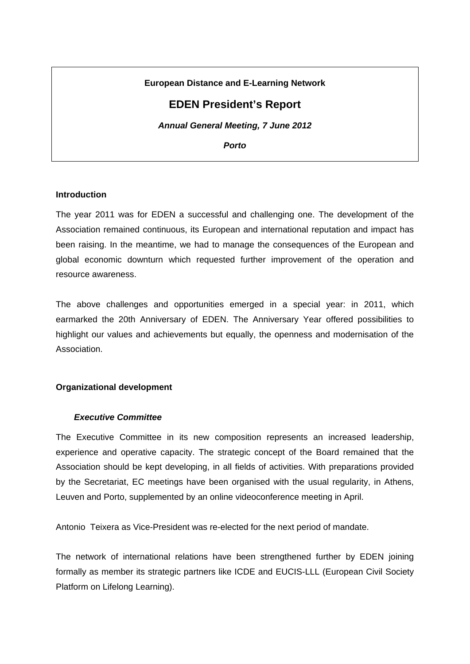# **European Distance and E-Learning Network**

# **EDEN President's Report**

*Annual General Meeting, 7 June 2012* 

*Porto* 

### **Introduction**

The year 2011 was for EDEN a successful and challenging one. The development of the Association remained continuous, its European and international reputation and impact has been raising. In the meantime, we had to manage the consequences of the European and global economic downturn which requested further improvement of the operation and resource awareness.

The above challenges and opportunities emerged in a special year: in 2011, which earmarked the 20th Anniversary of EDEN. The Anniversary Year offered possibilities to highlight our values and achievements but equally, the openness and modernisation of the Association.

### **Organizational development**

### *Executive Committee*

The Executive Committee in its new composition represents an increased leadership, experience and operative capacity. The strategic concept of the Board remained that the Association should be kept developing, in all fields of activities. With preparations provided by the Secretariat, EC meetings have been organised with the usual regularity, in Athens, Leuven and Porto, supplemented by an online videoconference meeting in April.

Antonio Teixera as Vice-President was re-elected for the next period of mandate.

The network of international relations have been strengthened further by EDEN joining formally as member its strategic partners like ICDE and EUCIS-LLL (European Civil Society Platform on Lifelong Learning).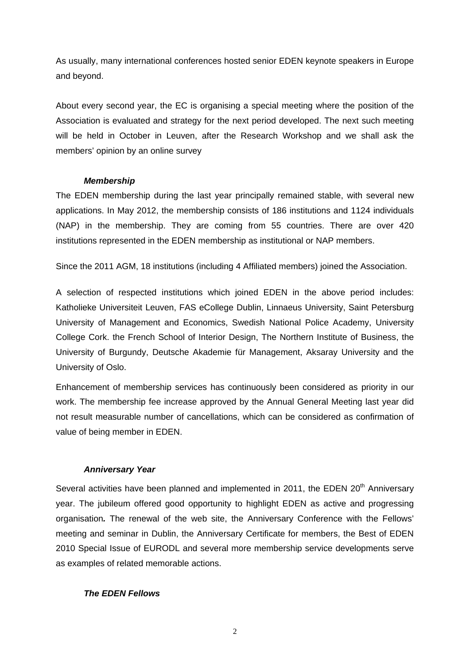As usually, many international conferences hosted senior EDEN keynote speakers in Europe and beyond.

About every second year, the EC is organising a special meeting where the position of the Association is evaluated and strategy for the next period developed. The next such meeting will be held in October in Leuven, after the Research Workshop and we shall ask the members' opinion by an online survey

### *Membership*

The EDEN membership during the last year principally remained stable, with several new applications. In May 2012, the membership consists of 186 institutions and 1124 individuals (NAP) in the membership. They are coming from 55 countries. There are over 420 institutions represented in the EDEN membership as institutional or NAP members.

Since the 2011 AGM, 18 institutions (including 4 Affiliated members) joined the Association.

A selection of respected institutions which joined EDEN in the above period includes: Katholieke Universiteit Leuven, FAS eCollege Dublin, Linnaeus University, Saint Petersburg University of Management and Economics, Swedish National Police Academy, University College Cork. the French School of Interior Design, The Northern Institute of Business, the University of Burgundy, Deutsche Akademie für Management, Aksaray University and the University of Oslo.

Enhancement of membership services has continuously been considered as priority in our work. The membership fee increase approved by the Annual General Meeting last year did not result measurable number of cancellations, which can be considered as confirmation of value of being member in EDEN.

### *Anniversary Year*

Several activities have been planned and implemented in 2011, the EDEN 20<sup>th</sup> Anniversary year. The jubileum offered good opportunity to highlight EDEN as active and progressing organisation*.* The renewal of the web site, the Anniversary Conference with the Fellows' meeting and seminar in Dublin, the Anniversary Certificate for members, the Best of EDEN 2010 Special Issue of EURODL and several more membership service developments serve as examples of related memorable actions.

### *The EDEN Fellows*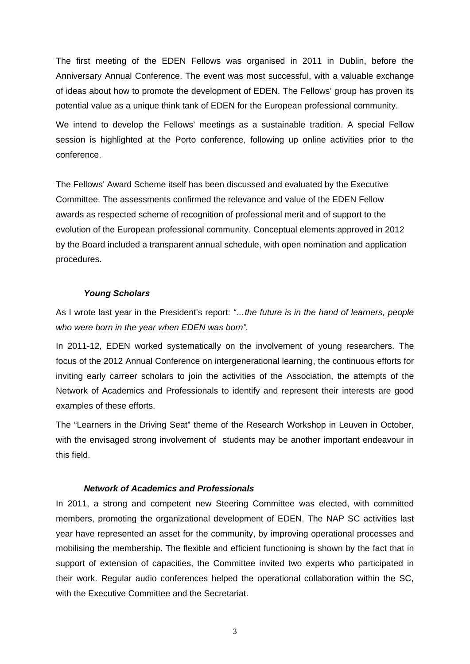The first meeting of the EDEN Fellows was organised in 2011 in Dublin, before the Anniversary Annual Conference. The event was most successful, with a valuable exchange of ideas about how to promote the development of EDEN. The Fellows' group has proven its potential value as a unique think tank of EDEN for the European professional community.

We intend to develop the Fellows' meetings as a sustainable tradition. A special Fellow session is highlighted at the Porto conference, following up online activities prior to the conference.

The Fellows' Award Scheme itself has been discussed and evaluated by the Executive Committee. The assessments confirmed the relevance and value of the EDEN Fellow awards as respected scheme of recognition of professional merit and of support to the evolution of the European professional community. Conceptual elements approved in 2012 by the Board included a transparent annual schedule, with open nomination and application procedures.

#### *Young Scholars*

As I wrote last year in the President's report: *"…the future is in the hand of learners, people who were born in the year when EDEN was born".*

In 2011-12, EDEN worked systematically on the involvement of young researchers. The focus of the 2012 Annual Conference on intergenerational learning, the continuous efforts for inviting early carreer scholars to join the activities of the Association, the attempts of the Network of Academics and Professionals to identify and represent their interests are good examples of these efforts.

The "Learners in the Driving Seat" theme of the Research Workshop in Leuven in October, with the envisaged strong involvement of students may be another important endeavour in this field.

### *Network of Academics and Professionals*

In 2011, a strong and competent new Steering Committee was elected, with committed members, promoting the organizational development of EDEN. The NAP SC activities last year have represented an asset for the community, by improving operational processes and mobilising the membership. The flexible and efficient functioning is shown by the fact that in support of extension of capacities, the Committee invited two experts who participated in their work. Regular audio conferences helped the operational collaboration within the SC, with the Executive Committee and the Secretariat.

3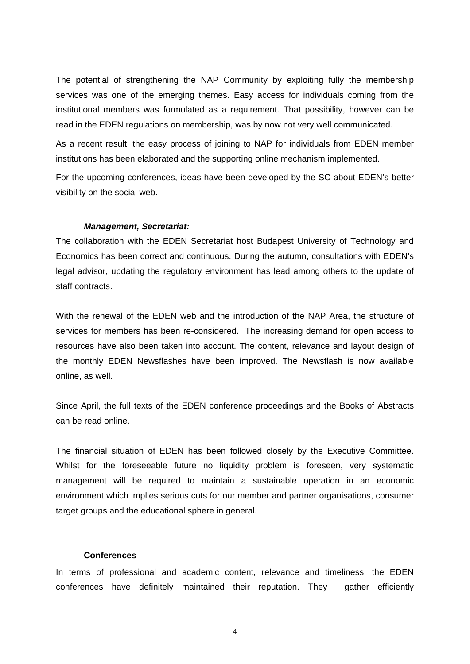The potential of strengthening the NAP Community by exploiting fully the membership services was one of the emerging themes. Easy access for individuals coming from the institutional members was formulated as a requirement. That possibility, however can be read in the EDEN regulations on membership, was by now not very well communicated.

As a recent result, the easy process of joining to NAP for individuals from EDEN member institutions has been elaborated and the supporting online mechanism implemented.

For the upcoming conferences, ideas have been developed by the SC about EDEN's better visibility on the social web.

#### *Management, Secretariat:*

The collaboration with the EDEN Secretariat host Budapest University of Technology and Economics has been correct and continuous. During the autumn, consultations with EDEN's legal advisor, updating the regulatory environment has lead among others to the update of staff contracts.

With the renewal of the EDEN web and the introduction of the NAP Area, the structure of services for members has been re-considered. The increasing demand for open access to resources have also been taken into account. The content, relevance and layout design of the monthly EDEN Newsflashes have been improved. The Newsflash is now available online, as well.

Since April, the full texts of the EDEN conference proceedings and the Books of Abstracts can be read online.

The financial situation of EDEN has been followed closely by the Executive Committee. Whilst for the foreseeable future no liquidity problem is foreseen, very systematic management will be required to maintain a sustainable operation in an economic environment which implies serious cuts for our member and partner organisations, consumer target groups and the educational sphere in general.

#### **Conferences**

In terms of professional and academic content, relevance and timeliness, the EDEN conferences have definitely maintained their reputation. They gather efficiently

4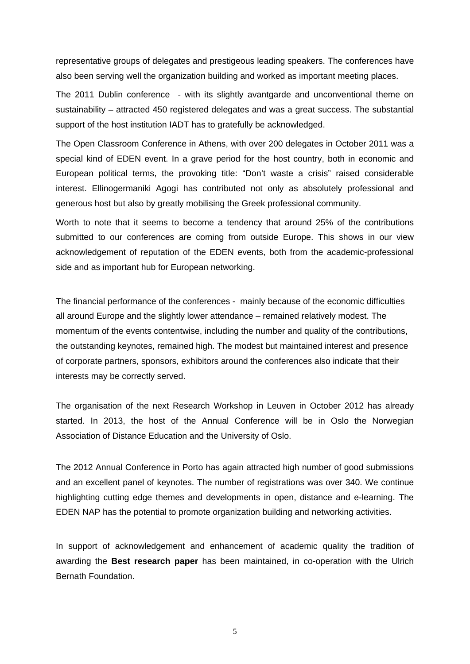representative groups of delegates and prestigeous leading speakers. The conferences have also been serving well the organization building and worked as important meeting places.

The 2011 Dublin conference - with its slightly avantgarde and unconventional theme on sustainability – attracted 450 registered delegates and was a great success. The substantial support of the host institution IADT has to gratefully be acknowledged.

The Open Classroom Conference in Athens, with over 200 delegates in October 2011 was a special kind of EDEN event. In a grave period for the host country, both in economic and European political terms, the provoking title: "Don't waste a crisis" raised considerable interest. Ellinogermaniki Agogi has contributed not only as absolutely professional and generous host but also by greatly mobilising the Greek professional community.

Worth to note that it seems to become a tendency that around 25% of the contributions submitted to our conferences are coming from outside Europe. This shows in our view acknowledgement of reputation of the EDEN events, both from the academic-professional side and as important hub for European networking.

The financial performance of the conferences - mainly because of the economic difficulties all around Europe and the slightly lower attendance – remained relatively modest. The momentum of the events contentwise, including the number and quality of the contributions, the outstanding keynotes, remained high. The modest but maintained interest and presence of corporate partners, sponsors, exhibitors around the conferences also indicate that their interests may be correctly served.

The organisation of the next Research Workshop in Leuven in October 2012 has already started. In 2013, the host of the Annual Conference will be in Oslo the Norwegian Association of Distance Education and the University of Oslo.

The 2012 Annual Conference in Porto has again attracted high number of good submissions and an excellent panel of keynotes. The number of registrations was over 340. We continue highlighting cutting edge themes and developments in open, distance and e-learning. The EDEN NAP has the potential to promote organization building and networking activities.

In support of acknowledgement and enhancement of academic quality the tradition of awarding the **Best research paper** has been maintained, in co-operation with the Ulrich Bernath Foundation.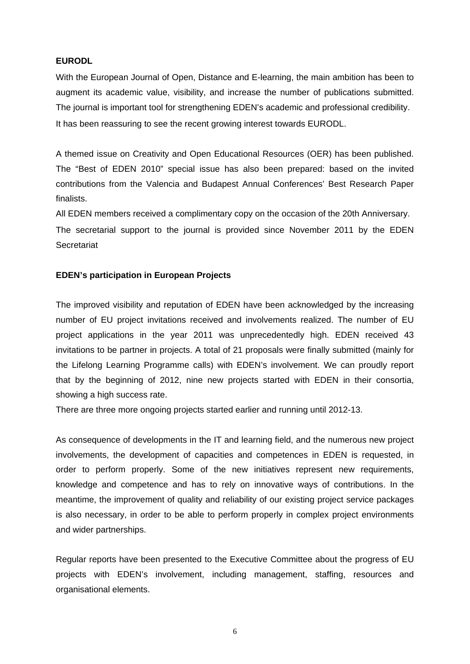### **EURODL**

With the European Journal of Open, Distance and E-learning, the main ambition has been to augment its academic value, visibility, and increase the number of publications submitted. The journal is important tool for strengthening EDEN's academic and professional credibility. It has been reassuring to see the recent growing interest towards EURODL.

A themed issue on Creativity and Open Educational Resources (OER) has been published. The "Best of EDEN 2010" special issue has also been prepared: based on the invited contributions from the Valencia and Budapest Annual Conferences' Best Research Paper finalists.

All EDEN members received a complimentary copy on the occasion of the 20th Anniversary.

The secretarial support to the journal is provided since November 2011 by the EDEN **Secretariat** 

### **EDEN's participation in European Projects**

The improved visibility and reputation of EDEN have been acknowledged by the increasing number of EU project invitations received and involvements realized. The number of EU project applications in the year 2011 was unprecedentedly high. EDEN received 43 invitations to be partner in projects. A total of 21 proposals were finally submitted (mainly for the Lifelong Learning Programme calls) with EDEN's involvement. We can proudly report that by the beginning of 2012, nine new projects started with EDEN in their consortia, showing a high success rate.

There are three more ongoing projects started earlier and running until 2012-13.

As consequence of developments in the IT and learning field, and the numerous new project involvements, the development of capacities and competences in EDEN is requested, in order to perform properly. Some of the new initiatives represent new requirements, knowledge and competence and has to rely on innovative ways of contributions. In the meantime, the improvement of quality and reliability of our existing project service packages is also necessary, in order to be able to perform properly in complex project environments and wider partnerships.

Regular reports have been presented to the Executive Committee about the progress of EU projects with EDEN's involvement, including management, staffing, resources and organisational elements.